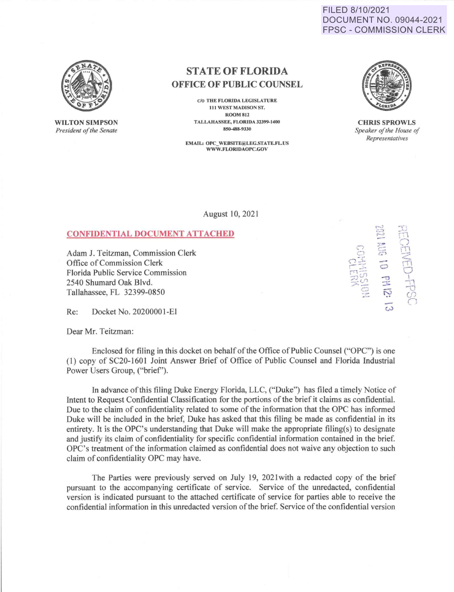FILED 8/10/2021 DOCUMENT NO. 09044-2021 **FPSC - COMMISSION CLERK** 



**WILTON SIMPSON** President of the Senate

## **STATE OF FLORIDA OFFICE OF PUBLIC COUNSEL**

C/O THE FLORIDA LEGISLATURE 111 WEST MADISON ST. **ROOM 812** TALLAHASSEE, FLORIDA 32399-1400 850-488-0330

**EMAIL: OPC WEBSITE@LEG.STATE.FL.US** WWW.FLORIDAOPC.GOV



**CHRIS SPROWLS** Speaker of the House of Representatives

August 10, 2021

## **CONFIDENTIAL DOCUMENT ATTACHED**

Adam J. Teitzman, Commission Clerk Office of Commission Clerk Florida Public Service Commission 2540 Shumard Oak Blvd. Tallahassee, FL 32399-0850

Re: Docket No. 20200001-EI

Dear Mr. Teitzman:

Enclosed for filing in this docket on behalf of the Office of Public Counsel ("OPC") is one (1) copy of SC20-1601 Joint Answer Brief of Office of Public Counsel and Florida Industrial Power Users Group, ("brief").

In advance of this filing Duke Energy Florida, LLC, ("Duke") has filed a timely Notice of Intent to Request Confidential Classification for the portions of the brief it claims as confidential. Due to the claim of confidentiality related to some of the information that the OPC has informed Duke will be included in the brief, Duke has asked that this filing be made as confidential in its entirety. It is the OPC's understanding that Duke will make the appropriate filing(s) to designate and justify its claim of confidentiality for specific confidential information contained in the brief. OPC's treatment of the information claimed as confidential does not waive any objection to such claim of confidentiality OPC may have.

The Parties were previously served on July 19, 2021 with a redacted copy of the brief pursuant to the accompanying certificate of service. Service of the unredacted, confidential version is indicated pursuant to the attached certificate of service for parties able to receive the confidential information in this unredacted version of the brief. Service of the confidential version

10 PH 12: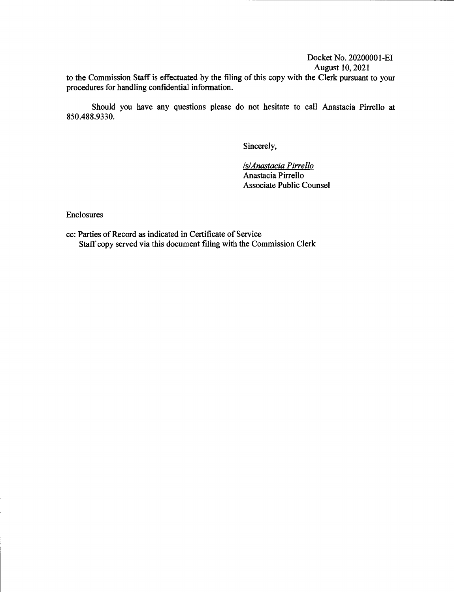Docket No. 2020000 I-EI August 10, 2021

 $\mathcal{L}$ 

to the Commission Staff is effectuated by the filing of this copy with the Clerk pursuant to your procedures for handling confidential information.

Should you have any questions please do not hesitate to call Anastacia Pirrello at 850.488.9330.

Sincerely,

*ls/Anastacia Pirrello*  Anastacia Pirrello Associate Public Counsel

Enclosures

cc: Parties of Record as indicated in Certificate of Service Staff copy served via this document filing with the Commission Clerk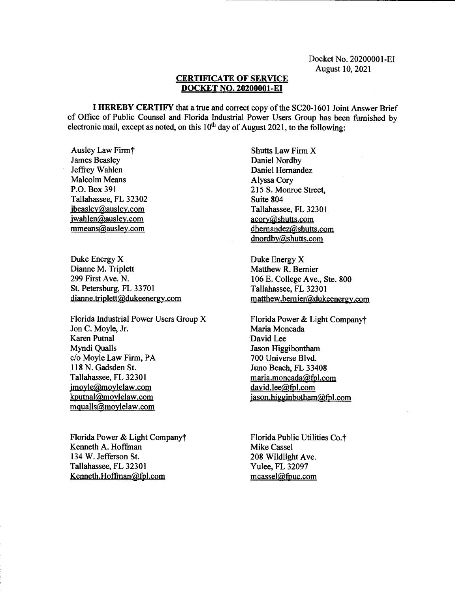## **CERTIFICATE OF SERVICE DOCKET NO. 20200001-EI**

I **HEREBY CERTIFY** that a true and correct copy of the SC20-1601 Joint Answer Brief of Office of Public Counsel and Florida Industrial Power Users Group has been furnished by electronic mail, except as noted, on this  $10<sup>th</sup>$  day of August 2021, to the following:

Ausley Law Firmt James Beasley Jeffrey Wahlen Malcolm Means P.O. Box 391 Tallahassee, FL 32302 jbeasley@ausley.com jwahlen@ausley.com mmeans@ausley.com

Duke Energy X Dianne M. Triplett 299 First Ave. N. St. Petersburg, FL 33701 dianne.triplett@dukeenergy.com

Florida Industrial Power Users Group X Jon C. Moyle, Jr. Karen Putnal Myndi Qualls c/o Moyle Law Firm, PA 118 N. Gadsden St. Tallahassee, FL 32301 imovle@moylelaw.com kputnal@moylelaw.com mqualls@moylelaw.com

Florida Power & Light Companyt Kenneth A. Hoffinan 134 W. Jefferson St. Tallahassee, FL 32301 Kenneth.Hoffinan@fpl.com

Shutts Law Firm X Daniel Nordby Daniel Hernandez Alyssa Cory 215 S. Monroe Street, Suite 804 Tallahassee, FL 32301 acory@shutts.com dhernandez@shutts.com dnordby@shutts.com

Duke Energy X Matthew R. Bernier 106 E. College Ave., Ste. 800 Tallahassee, FL 32301 matthew.bernier@dukeenergy.com

Florida Power & Light Companyt Maria Moncada David Lee Jason Higgibontham 700 Universe Blvd. Juno Beach, FL 33408 maria.moncada@fpl.com david.lee@fpl.com jason.higginbotham@fpl.com

Florida Public Utilities Co.<sup>†</sup> Mike Cassel 208 Wildlight Ave. Yulee, FL 32097 mcassel@fpuc.com